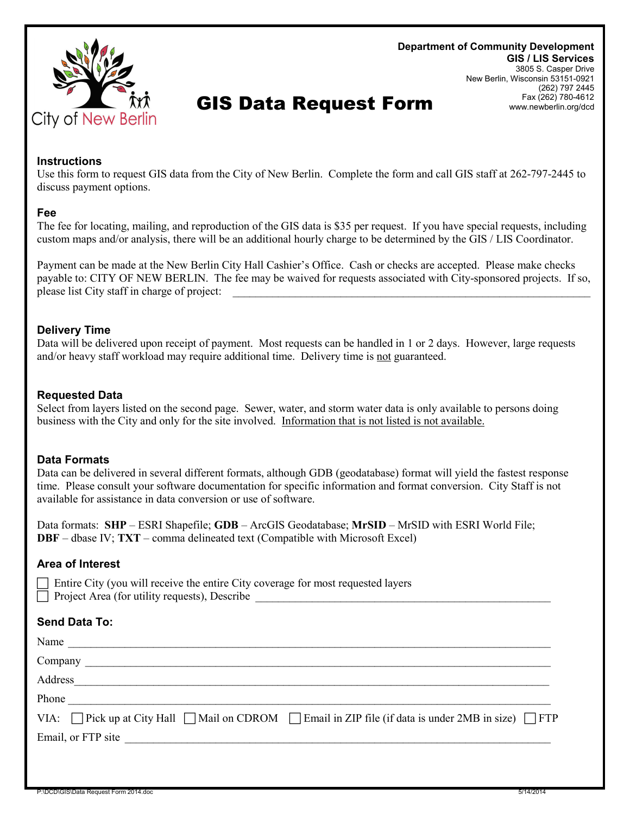

#### **Department of Community Development GIS / LIS Services** 3805 S. Casper Drive New Berlin, Wisconsin 53151-0921 (262) 797 2445 Fax (262) 780-4612 www.newberlin.org/dcd

# GIS Data Request Form

**Instructions**

Use this form to request GIS data from the City of New Berlin. Complete the form and call GIS staff at 262-797-2445 to discuss payment options.

### **Fee**

The fee for locating, mailing, and reproduction of the GIS data is \$35 per request. If you have special requests, including custom maps and/or analysis, there will be an additional hourly charge to be determined by the GIS / LIS Coordinator.

Payment can be made at the New Berlin City Hall Cashier's Office. Cash or checks are accepted. Please make checks payable to: CITY OF NEW BERLIN. The fee may be waived for requests associated with City-sponsored projects. If so, please list City staff in charge of project:

# **Delivery Time**

Data will be delivered upon receipt of payment. Most requests can be handled in 1 or 2 days. However, large requests and/or heavy staff workload may require additional time. Delivery time is not guaranteed.

# **Requested Data**

Select from layers listed on the second page. Sewer, water, and storm water data is only available to persons doing business with the City and only for the site involved. Information that is not listed is not available.

# **Data Formats**

Data can be delivered in several different formats, although GDB (geodatabase) format will yield the fastest response time. Please consult your software documentation for specific information and format conversion. City Staff is not available for assistance in data conversion or use of software.

Data formats: **SHP** – ESRI Shapefile; **GDB** – ArcGIS Geodatabase; **MrSID** – MrSID with ESRI World File; **DBF** – dbase IV; **TXT** – comma delineated text (Compatible with Microsoft Excel)

### **Area of Interest**

 Entire City (you will receive the entire City coverage for most requested layers Project Area (for utility requests), Describe

### **Send Data To:**

| Name                                                                                                                                                                                                                                 |
|--------------------------------------------------------------------------------------------------------------------------------------------------------------------------------------------------------------------------------------|
|                                                                                                                                                                                                                                      |
|                                                                                                                                                                                                                                      |
| Phone                                                                                                                                                                                                                                |
| VIA: Pick up at City Hall $\Box$ Mail on CDROM $\Box$ Email in ZIP file (if data is under 2MB in size) $\Box$ FTP                                                                                                                    |
| Email, or FTP site <u>expression and the set of the set of the set of the set of the set of the set of the set of the set of the set of the set of the set of the set of the set of the set of the set of the set of the set of </u> |
|                                                                                                                                                                                                                                      |
|                                                                                                                                                                                                                                      |